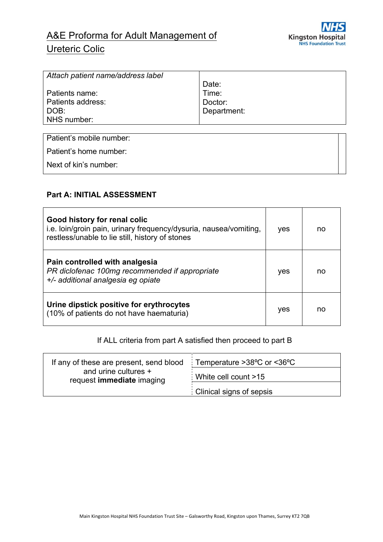

# A&E Proforma for Adult Management of Ureteric Colic

| Attach patient name/address label |             |
|-----------------------------------|-------------|
|                                   | Date:       |
| Patients name:                    | Time:       |
| Patients address:                 | Doctor:     |
| DOB:                              | Department: |
| NHS number:                       |             |
|                                   |             |

Patient's mobile number:

Patient's home number:

Next of kin's number:

# **Part A: INITIAL ASSESSMENT**

| Good history for renal colic<br>i.e. loin/groin pain, urinary frequency/dysuria, nausea/vomiting,<br>restless/unable to lie still, history of stones | yes | no |
|------------------------------------------------------------------------------------------------------------------------------------------------------|-----|----|
| Pain controlled with analgesia<br>PR diclofenac 100mg recommended if appropriate<br>+/- additional analgesia eg opiate                               |     | no |
| Urine dipstick positive for erythrocytes<br>(10% of patients do not have haematuria)                                                                 |     | no |

#### If ALL criteria from part A satisfied then proceed to part B

| If any of these are present, send blood           | Temperature $>38^{\circ}$ C or $<36^{\circ}$ C |
|---------------------------------------------------|------------------------------------------------|
| and urine cultures +<br>request immediate imaging | White cell count >15                           |
|                                                   | Clinical signs of sepsis                       |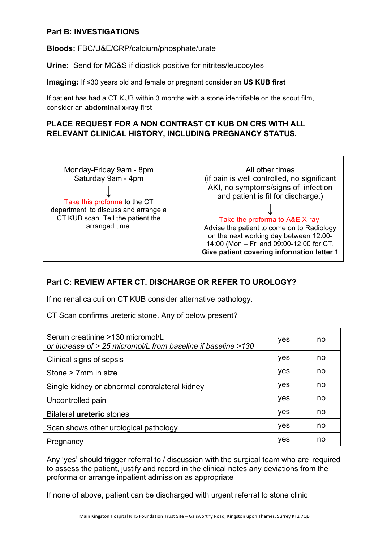#### **Part B: INVESTIGATIONS**

**Bloods:** FBC/U&E/CRP/calcium/phosphate/urate

**Urine:** Send for MC&S if dipstick positive for nitrites/leucocytes

**Imaging:** If ≤30 years old and female or pregnant consider an **US KUB first**

If patient has had a CT KUB within 3 months with a stone identifiable on the scout film, consider an **abdominal x-ray** first

# **PLACE REQUEST FOR A NON CONTRAST CT KUB ON CRS WITH ALL RELEVANT CLINICAL HISTORY, INCLUDING PREGNANCY STATUS.**



### **Part C: REVIEW AFTER CT. DISCHARGE OR REFER TO UROLOGY?**

If no renal calculi on CT KUB consider alternative pathology.

CT Scan confirms ureteric stone. Any of below present?

| Serum creatinine >130 micromol/L<br>or increase of > 25 micromol/L from baseline if baseline >130 | yes | no |
|---------------------------------------------------------------------------------------------------|-----|----|
| Clinical signs of sepsis                                                                          | yes | no |
| Stone > 7mm in size                                                                               | yes | no |
| Single kidney or abnormal contralateral kidney                                                    | yes | no |
| Uncontrolled pain                                                                                 | yes | no |
| <b>Bilateral ureteric stones</b>                                                                  | yes | no |
| Scan shows other urological pathology                                                             | yes | no |
| Pregnancy                                                                                         | yes | no |

Any 'yes' should trigger referral to / discussion with the surgical team who are required to assess the patient, justify and record in the clinical notes any deviations from the proforma or arrange inpatient admission as appropriate

If none of above, patient can be discharged with urgent referral to stone clinic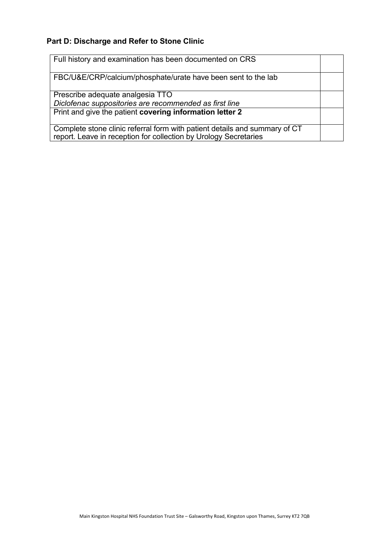# **Part D: Discharge and Refer to Stone Clinic**

| Full history and examination has been documented on CRS                                                                                        |  |
|------------------------------------------------------------------------------------------------------------------------------------------------|--|
| FBC/U&E/CRP/calcium/phosphate/urate have been sent to the lab                                                                                  |  |
| Prescribe adequate analgesia TTO                                                                                                               |  |
| Diclofenac suppositories are recommended as first line                                                                                         |  |
| Print and give the patient covering information letter 2                                                                                       |  |
| Complete stone clinic referral form with patient details and summary of CT<br>report. Leave in reception for collection by Urology Secretaries |  |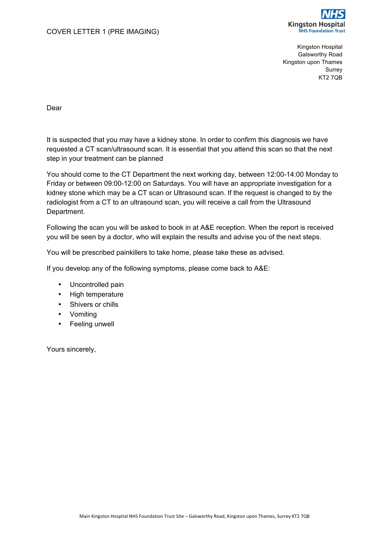

Kingston Hospital Galsworthy Road Kingston upon Thames Surrey KT2 7QB

Dear

It is suspected that you may have a kidney stone. In order to confirm this diagnosis we have requested a CT scan/ultrasound scan. It is essential that you attend this scan so that the next step in your treatment can be planned

You should come to the CT Department the next working day, between 12:00-14:00 Monday to Friday or between 09:00-12:00 on Saturdays. You will have an appropriate investigation for a kidney stone which may be a CT scan or Ultrasound scan. If the request is changed to by the radiologist from a CT to an ultrasound scan, you will receive a call from the Ultrasound Department.

Following the scan you will be asked to book in at A&E reception. When the report is received you will be seen by a doctor, who will explain the results and advise you of the next steps.

You will be prescribed painkillers to take home, please take these as advised.

If you develop any of the following symptoms, please come back to A&E:

- Uncontrolled pain
- High temperature
- Shivers or chills
- Vomiting
- Feeling unwell

Yours sincerely,